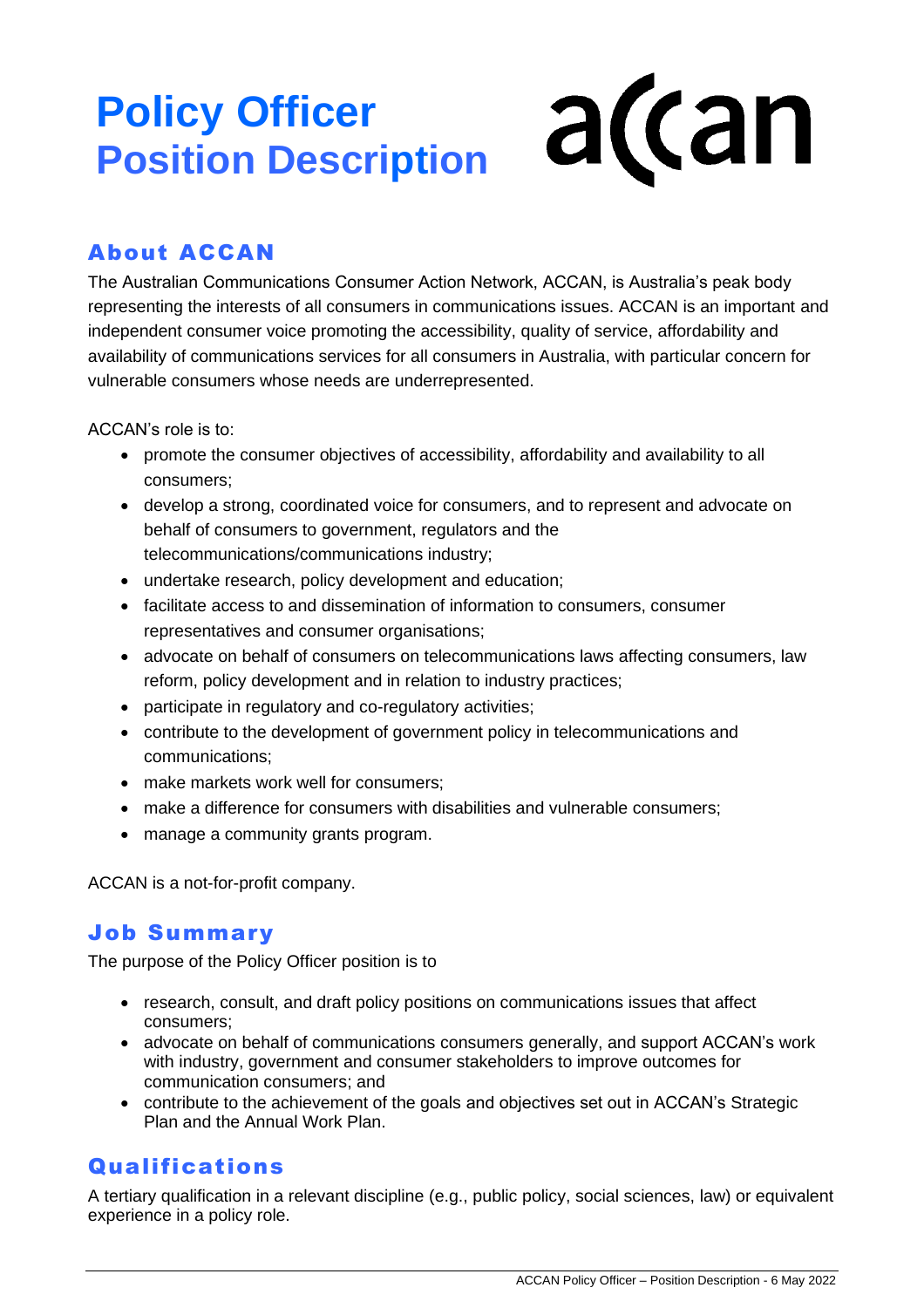# **Policy Officer Position Description**

# a(can

# About ACCAN

The Australian Communications Consumer Action Network, ACCAN, is Australia's peak body representing the interests of all consumers in communications issues. ACCAN is an important and independent consumer voice promoting the accessibility, quality of service, affordability and availability of communications services for all consumers in Australia, with particular concern for vulnerable consumers whose needs are underrepresented.

ACCAN's role is to:

- promote the consumer objectives of accessibility, affordability and availability to all consumers;
- develop a strong, coordinated voice for consumers, and to represent and advocate on behalf of consumers to government, regulators and the telecommunications/communications industry;
- undertake research, policy development and education;
- facilitate access to and dissemination of information to consumers, consumer representatives and consumer organisations;
- advocate on behalf of consumers on telecommunications laws affecting consumers, law reform, policy development and in relation to industry practices;
- participate in regulatory and co-regulatory activities;
- contribute to the development of government policy in telecommunications and communications;
- make markets work well for consumers:
- make a difference for consumers with disabilities and vulnerable consumers;
- manage a community grants program.

ACCAN is a not-for-profit company.

# Job Summary

The purpose of the Policy Officer position is to

- research, consult, and draft policy positions on communications issues that affect consumers;
- advocate on behalf of communications consumers generally, and support ACCAN's work with industry, government and consumer stakeholders to improve outcomes for communication consumers; and
- contribute to the achievement of the goals and objectives set out in ACCAN's Strategic Plan and the Annual Work Plan.

# Qualifications

A tertiary qualification in a relevant discipline (e.g., public policy, social sciences, law) or equivalent experience in a policy role.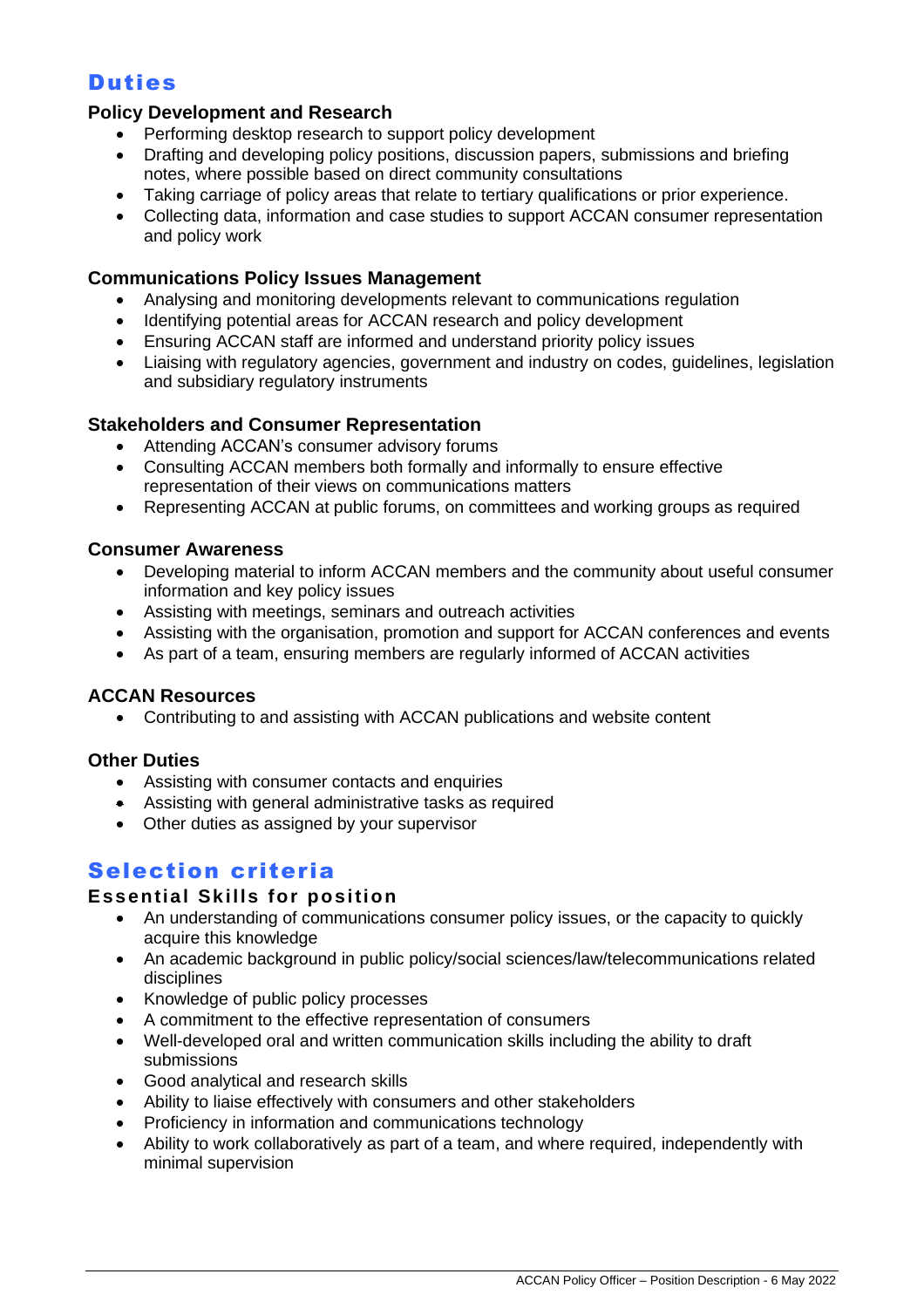# Duties

#### **Policy Development and Research**

- Performing desktop research to support policy development
- Drafting and developing policy positions, discussion papers, submissions and briefing notes, where possible based on direct community consultations
- Taking carriage of policy areas that relate to tertiary qualifications or prior experience.
- Collecting data, information and case studies to support ACCAN consumer representation and policy work

#### **Communications Policy Issues Management**

- Analysing and monitoring developments relevant to communications regulation
- Identifying potential areas for ACCAN research and policy development
- Ensuring ACCAN staff are informed and understand priority policy issues
- Liaising with regulatory agencies, government and industry on codes, guidelines, legislation and subsidiary regulatory instruments

#### **Stakeholders and Consumer Representation**

- Attending ACCAN's consumer advisory forums
- Consulting ACCAN members both formally and informally to ensure effective representation of their views on communications matters
- Representing ACCAN at public forums, on committees and working groups as required

#### **Consumer Awareness**

- Developing material to inform ACCAN members and the community about useful consumer information and key policy issues
- Assisting with meetings, seminars and outreach activities
- Assisting with the organisation, promotion and support for ACCAN conferences and events
- As part of a team, ensuring members are regularly informed of ACCAN activities

#### **ACCAN Resources**

• Contributing to and assisting with ACCAN publications and website content

#### **Other Duties**

- Assisting with consumer contacts and enquiries
- Assisting with general administrative tasks as required
- Other duties as assigned by your supervisor

## Selection criteria

#### **Essential Skills for position**

- An understanding of communications consumer policy issues, or the capacity to quickly acquire this knowledge
- An academic background in public policy/social sciences/law/telecommunications related disciplines
- Knowledge of public policy processes
- A commitment to the effective representation of consumers
- Well-developed oral and written communication skills including the ability to draft submissions
- Good analytical and research skills
- Ability to liaise effectively with consumers and other stakeholders
- Proficiency in information and communications technology
- Ability to work collaboratively as part of a team, and where required, independently with minimal supervision